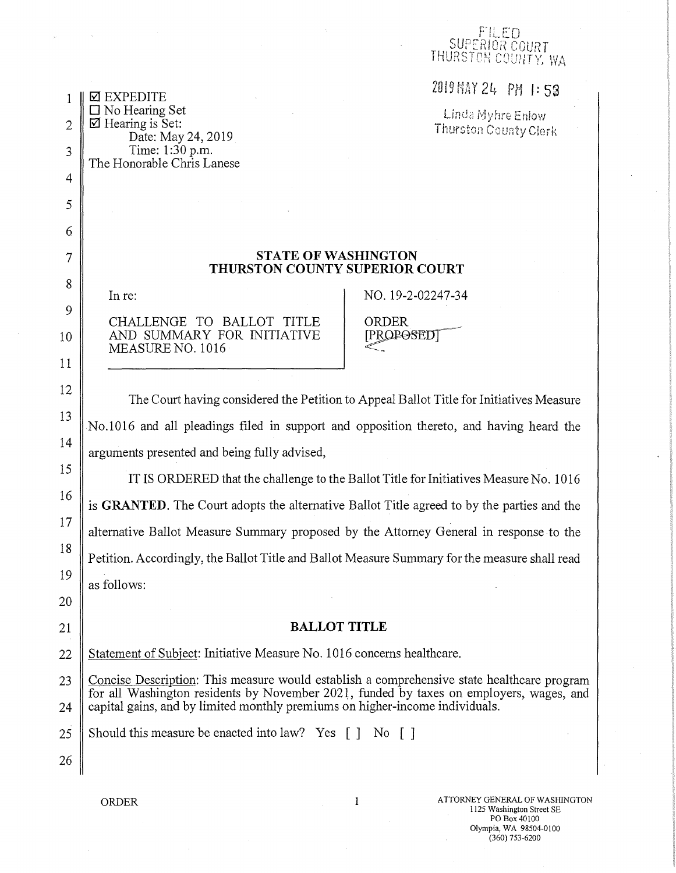## FILED<br>RIOR POUPT THURSTON COUNTY, WA

 $\begin{array}{c|c}\n 1 \mid \Box \text{ EXPERIDITE} \\
\Box \text{No Hearing Set}\n \end{array}$ 

 $\begin{array}{c} \begin{array}{ccc} \text{ } & \text{ } \square \text{ No Hearing Set} \ \text{ } & \text{ } \square \text{ Meaning is Set:} \ \end{array} & \begin{array}{ccc} \text{ } & \text{ } & \text{ } \square \text{ Int} \triangleleft \text{ Myhre E} \text{ nlow} \ \end{array} \ \end{array}$ 

## 7 STATE OF WASHINGTON THURSTON COUNTY SUPERIOR COURT

4

5

6

8

9

11

12

14

15

16

17

18

19

20

3 Time: 1:30 p.m.

The Honorable Chris Lanese

CHALLENGE TO BALLOT TITLE | ORDER<br>AND SUMMARY FOR INITIATIVE | [PROPOSEDT 10 AND SUMMARY FOR INITIATIVE MEASURE NO. 1016

In re: NO. 19-2-02247-34

The Court having considered the Petition to Appeal Ballot Title for Initiatives Measure  $\frac{13}{10}$  No.1016 and all pleadings filed in support and opposition thereto, and having heard the arguments presented and being fully advised,

IT IS ORDERED that the challenge to the Ballot Title for Initiatives Measure No. 1016 is GRANTED. The Court adopts the alternative Ballot Title agreed to by the parties and the alternative Ballot Measure Summary proposed by the Attorney General in response to the Petition. Accordingly, the Ballot Title and Ballot Measure Summary for the measure shall read as follows:

## 21 || **BALLOT TITLE**

22 Statement of Subject: Initiative Measure No. 1016 concerns healthcare.

23 Concise Description: This measure would establish a comprehensive state healthcare program for all Washington residents by November 2021, funded by taxes on employers, wages, and  $24$  capital gains, and by limited monthly premiums on higher-income individuals.

25 Should this measure be enacted into law? Yes  $\begin{bmatrix} 1 \\ N_0 \end{bmatrix}$ 

26